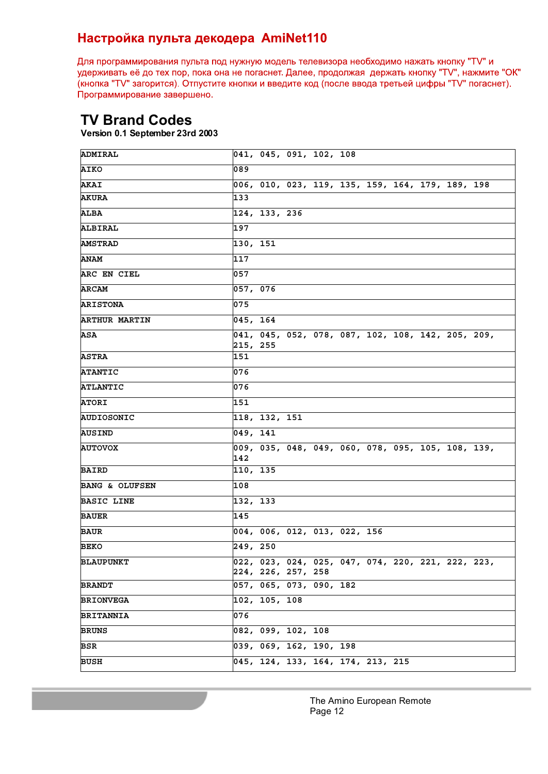## Настройка пульта декодера AmiNet110

Для программирования пульта под нужную модель телевизора необходимо нажать кнопку "TV" и удерживать её до тех пор, пока она не погаснет. Далее, продолжая держать кнопку "TV", нажмите "OK" (кнопка "TV" загорится). Отпустите кнопки и введите код (после ввода третьей цифры "TV" погаснет). Программирование завершено.

## **TV Brand Codes**

**Version 0.1 September 23rd 2003**

| ADMIRAL                   |          | 041, 045, 091, 102, 108                        |  |                                                                                   |  |  |  |
|---------------------------|----------|------------------------------------------------|--|-----------------------------------------------------------------------------------|--|--|--|
| <b>AIKO</b>               | 089      |                                                |  |                                                                                   |  |  |  |
| <b>AKAI</b>               |          |                                                |  | 006, 010, 023, 119, 135, 159, 164, 179, 189, 198                                  |  |  |  |
| <b>AKURA</b>              | 133      |                                                |  |                                                                                   |  |  |  |
| ALBA                      |          | 124, 133, 236                                  |  |                                                                                   |  |  |  |
| ALBIRAL                   | 197      |                                                |  |                                                                                   |  |  |  |
| <b>AMSTRAD</b>            | 130, 151 |                                                |  |                                                                                   |  |  |  |
| <b>ANAM</b>               | 117      |                                                |  |                                                                                   |  |  |  |
| ARC EN CIEL               | 057      |                                                |  |                                                                                   |  |  |  |
| <b>ARCAM</b>              | 057, 076 |                                                |  |                                                                                   |  |  |  |
| <b>ARISTONA</b>           | 075      |                                                |  |                                                                                   |  |  |  |
| <b>ARTHUR MARTIN</b>      | 045, 164 |                                                |  |                                                                                   |  |  |  |
| ASA                       | 215, 255 |                                                |  | $\begin{bmatrix} 041, 045, 052, 078, 087, 102, 108, 142, 205, 209, \end{bmatrix}$ |  |  |  |
| <b>ASTRA</b>              | 151      |                                                |  |                                                                                   |  |  |  |
| <b>ATANTIC</b>            | 076      |                                                |  |                                                                                   |  |  |  |
| <b>ATLANTIC</b>           | 076      |                                                |  |                                                                                   |  |  |  |
| <b>ATORI</b>              | 151      |                                                |  |                                                                                   |  |  |  |
| AUDIOSONIC                |          | 118, 132, 151                                  |  |                                                                                   |  |  |  |
| AUSIND                    | 049, 141 |                                                |  |                                                                                   |  |  |  |
| <b>AUTOVOX</b>            | 142      |                                                |  | 009, 035, 048, 049, 060, 078, 095, 105, 108, 139,                                 |  |  |  |
| <b>BAIRD</b>              | 110, 135 |                                                |  |                                                                                   |  |  |  |
| <b>BANG &amp; OLUFSEN</b> | 108      |                                                |  |                                                                                   |  |  |  |
| <b>BASIC LINE</b>         | 132, 133 |                                                |  |                                                                                   |  |  |  |
| <b>BAUER</b>              | 145      |                                                |  |                                                                                   |  |  |  |
| <b>BAUR</b>               |          |                                                |  | 004, 006, 012, 013, 022, 156                                                      |  |  |  |
| <b>BEKO</b>               | 249, 250 |                                                |  |                                                                                   |  |  |  |
| <b>BLAUPUNKT</b>          |          |                                                |  | 022, 023, 024, 025, 047, 074, 220, 221, 222, 223,                                 |  |  |  |
| <b>BRANDT</b>             |          | 224, 226, 257, 258<br> 057, 065, 073, 090, 182 |  |                                                                                   |  |  |  |
| <b>BRIONVEGA</b>          |          | 102, 105, 108                                  |  |                                                                                   |  |  |  |
| <b>BRITANNIA</b>          | 076      |                                                |  |                                                                                   |  |  |  |
|                           |          |                                                |  |                                                                                   |  |  |  |
| BRUNS                     |          | 082, 099, 102, 108                             |  |                                                                                   |  |  |  |
| BSR                       |          | $\overline{039}$ , 069, 162, 190, 198          |  |                                                                                   |  |  |  |
| BUSH                      |          |                                                |  | 045, 124, 133, 164, 174, 213, 215                                                 |  |  |  |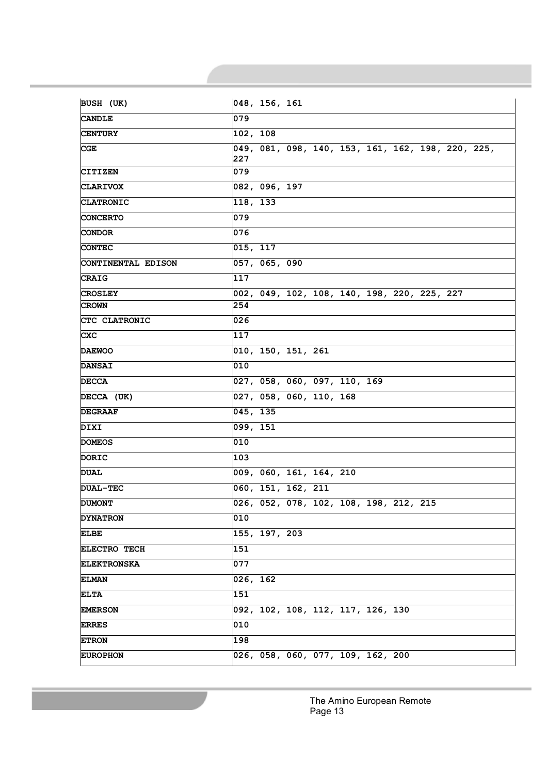| <b>CANDLE</b>       | 079                                               |
|---------------------|---------------------------------------------------|
| <b>CENTURY</b>      | 102, 108                                          |
| $_{\rm CGE}$        | 049, 081, 098, 140, 153, 161, 162, 198, 220, 225, |
| <b>CITIZEN</b>      | 227<br>079                                        |
| <b>CLARIVOX</b>     | 082, 096, 197                                     |
|                     |                                                   |
| <b>CLATRONIC</b>    | 118, 133                                          |
| <b>CONCERTO</b>     | 079                                               |
| <b>CONDOR</b>       | 076                                               |
| <b>CONTEC</b>       | 015, 117                                          |
| CONTINENTAL EDISON  | 057, 065, 090                                     |
| <b>CRAIG</b>        | 117                                               |
| <b>CROSLEY</b>      | 002, 049, 102, 108, 140, 198, 220, 225, 227       |
| CROWN               | 254                                               |
| CTC CLATRONIC       | 026                                               |
| <b>CXC</b>          | 117                                               |
| <b>DAEWOO</b>       | 010, 150, 151, 261                                |
| <b>DANSAI</b>       | 010                                               |
| <b>DECCA</b>        | 027, 058, 060, 097, 110, 169                      |
| DECCA (UK)          | 027, 058, 060, 110, 168                           |
| <b>DEGRAAF</b>      | 045, 135                                          |
| <b>DIXI</b>         | 099, 151                                          |
| <b>DOMEOS</b>       | 010                                               |
| DORIC               | 103                                               |
| <b>DUAL</b>         | 009, 060, 161, 164, 210                           |
| <b>DUAL-TEC</b>     | 060, 151, 162, 211                                |
| <b>DUMONT</b>       | 026, 052, 078, 102, 108, 198, 212, 215            |
| <b>DYNATRON</b>     | 010                                               |
| <b>ELBE</b>         | 155, 197, 203                                     |
| <b>ELECTRO TECH</b> | 151                                               |
| <b>ELEKTRONSKA</b>  | 077                                               |
| <b>ELMAN</b>        | 026, 162                                          |
| <b>ELTA</b>         | 151                                               |
| <b>EMERSON</b>      | 092, 102, 108, 112, 117, 126, 130                 |
| <b>ERRES</b>        | 010                                               |
| <b>ETRON</b>        | 198                                               |
| <b>EUROPHON</b>     | 026, 058, 060, 077, 109, 162, 200                 |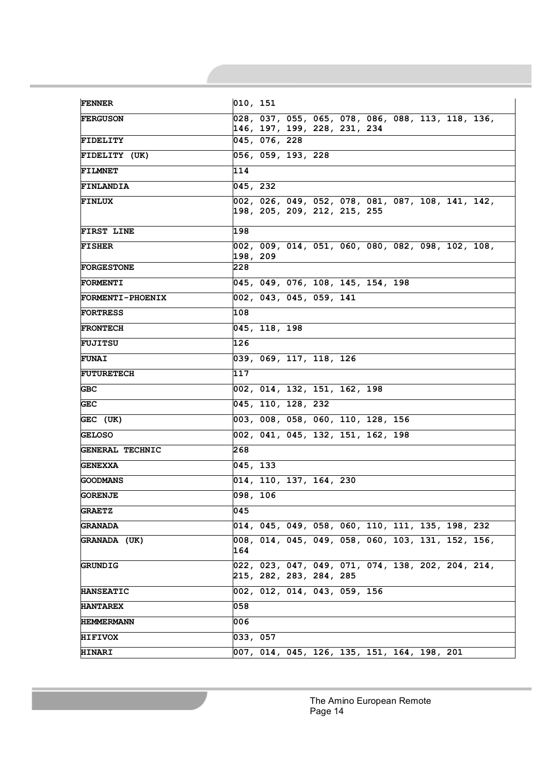| <b>FENNER</b>           | 010, 151                                                                           |
|-------------------------|------------------------------------------------------------------------------------|
| <b>FERGUSON</b>         | 028, 037, 055, 065, 078, 086, 088, 113, 118, 136,<br>146, 197, 199, 228, 231, 234  |
| <b>FIDELITY</b>         | 045, 076, 228                                                                      |
| FIDELITY (UK)           | 056, 059, 193, 228                                                                 |
| <b>FILMNET</b>          | 114                                                                                |
| <b>FINLANDIA</b>        | 045, 232                                                                           |
| <b>FINLUX</b>           | 002, 026, 049, 052, 078, 081, 087, 108, 141, 142,<br> 198, 205, 209, 212, 215, 255 |
| FIRST LINE              | 198                                                                                |
| <b>FISHER</b>           | 002, 009, 014, 051, 060, 080, 082, 098, 102, 108,<br>198, 209                      |
| <b>FORGESTONE</b>       | 228                                                                                |
| <b>FORMENTI</b>         | 045, 049, 076, 108, 145, 154, 198                                                  |
| <b>FORMENTI-PHOENIX</b> | 002, 043, 045, 059, 141                                                            |
| <b>FORTRESS</b>         | 108                                                                                |
| <b>FRONTECH</b>         | 045, 118, 198                                                                      |
| <b>FUJITSU</b>          | 126                                                                                |
| <b>FUNAI</b>            | 039, 069, 117, 118, 126                                                            |
| <b>FUTURETECH</b>       | 117                                                                                |
| GBC.                    | 002, 014, 132, 151, 162, 198                                                       |
| GEC                     | 045, 110, 128, 232                                                                 |
| GEC (UK)                | $\overline{003}$ , 008, 058, 060, 110, 128, 156                                    |
| <b>GELOSO</b>           | 002, 041, 045, 132, 151, 162, 198                                                  |
| <b>GENERAL TECHNIC</b>  | 268                                                                                |
| <b>GENEXXA</b>          | 045, 133                                                                           |
| GOODMANS                | 014, 110, 137, 164, 230                                                            |
| <b>GORENJE</b>          | 098, 106                                                                           |
| <b>GRAETZ</b>           | 045                                                                                |
| GRANADA                 | $ 014, 045, 049, 058, 060, 110, 111, 135, 198, 232$                                |
| GRANADA (UK)            | 008, 014, 045, 049, 058, 060, 103, 131, 152, 156,<br>164                           |
| GRUNDIG                 | 022, 023, 047, 049, 071, 074, 138, 202, 204, 214,<br>215, 282, 283, 284, 285       |
| <b>HANSEATIC</b>        | 002, 012, 014, 043, 059, 156                                                       |
| <b>HANTAREX</b>         | 058                                                                                |
| HEMMERMANN              | 006                                                                                |
| <b>HIFIVOX</b>          | 033, 057                                                                           |
| <b>HINARI</b>           | 007, 014, 045, 126, 135, 151, 164, 198, 201                                        |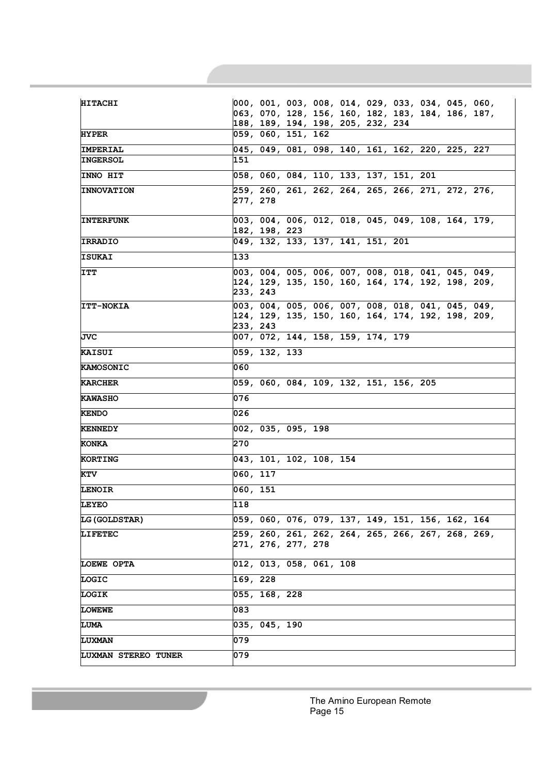| <b>HITACHI</b>       | $ 000, 001, 003, 008, 014, 029, 033, 034, 045, 060,$                                                    |
|----------------------|---------------------------------------------------------------------------------------------------------|
|                      | 063, 070, 128, 156, 160, 182, 183, 184, 186, 187,                                                       |
| <b>HYPER</b>         | 188, 189, 194, 198, 205, 232, 234<br> 059, 060, 151, 162                                                |
|                      |                                                                                                         |
| <b>IMPERIAL</b>      | 045, 049, 081, 098, 140, 161, 162, 220, 225, 227                                                        |
| <b>INGERSOL</b>      | 151                                                                                                     |
| <b>INNO HIT</b>      | 058, 060, 084, 110, 133, 137, 151, 201                                                                  |
| <b>INNOVATION</b>    | 259, 260, 261, 262, 264, 265, 266, 271, 272, 276,                                                       |
|                      | 277, 278                                                                                                |
| <b>INTERFUNK</b>     | 003, 004, 006, 012, 018, 045, 049, 108, 164, 179,                                                       |
|                      | 182, 198, 223                                                                                           |
| <b>IRRADIO</b>       | 049, 132, 133, 137, 141, 151, 201                                                                       |
| ISUKAI               | 133                                                                                                     |
|                      |                                                                                                         |
| <b>ITT</b>           | 003, 004, 005, 006, 007, 008, 018, 041, 045, 049,<br> 124, 129, 135, 150, 160, 164, 174, 192, 198, 209, |
|                      | 233, 243                                                                                                |
| <b>ITT-NOKIA</b>     | 003, 004, 005, 006, 007, 008, 018, 041, 045, 049,                                                       |
|                      | 124, 129, 135, 150, 160, 164, 174, 192, 198, 209,                                                       |
|                      | 233, 243                                                                                                |
| JVC                  | 007, 072, 144, 158, 159, 174, 179                                                                       |
| <b>KAISUI</b>        | 059, 132, 133                                                                                           |
| <b>KAMOSONIC</b>     | 060                                                                                                     |
| <b>KARCHER</b>       | 059, 060, 084, 109, 132, 151, 156, 205                                                                  |
| <b>KAWASHO</b>       | 076                                                                                                     |
| <b>KENDO</b>         | 026                                                                                                     |
| <b>KENNEDY</b>       | 002, 035, 095, 198                                                                                      |
| KONKA                | 270                                                                                                     |
| <b>KORTING</b>       | 043, 101, 102, 108, 154                                                                                 |
| KTV                  | 060, 117                                                                                                |
| <b>LENOIR</b>        | 060, 151                                                                                                |
| LEYEO                | 118                                                                                                     |
| <b>LG (GOLDSTAR)</b> | 059, 060, 076, 079, 137, 149, 151, 156, 162, 164                                                        |
| <b>LIFETEC</b>       | 259, 260, 261, 262, 264, 265, 266, 267, 268, 269,                                                       |
|                      | 271, 276, 277, 278                                                                                      |
| <b>LOEWE OPTA</b>    | 012, 013, 058, 061, 108                                                                                 |
| LOGIC                | 169, 228                                                                                                |
| <b>LOGIK</b>         | 055, 168, 228                                                                                           |
| <b>LOWEWE</b>        | 083                                                                                                     |
| <b>LUMA</b>          | $035, 045, \overline{190}$                                                                              |
| <b>LUXMAN</b>        | 079                                                                                                     |
| LUXMAN STEREO TUNER  | 079                                                                                                     |
|                      |                                                                                                         |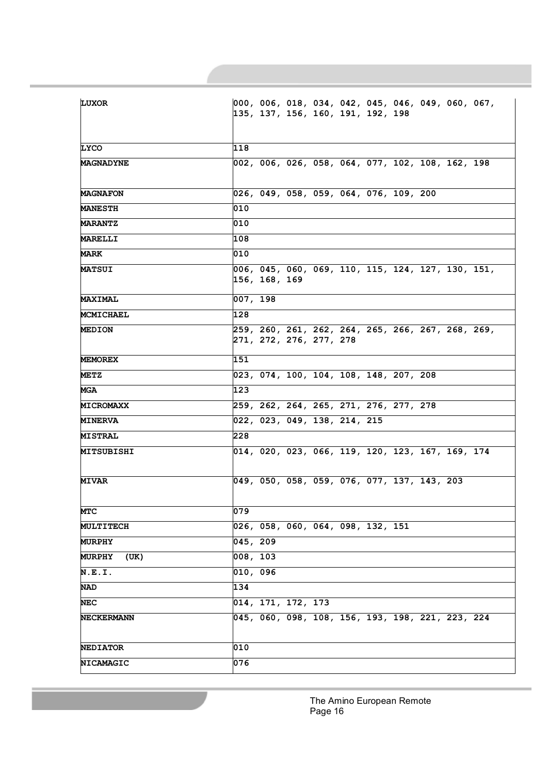| <b>LUXOR</b>          | 000, 006, 018, 034, 042, 045, 046, 049, 060, 067,<br> 135, 137, 156, 160, 191, 192, 198 |
|-----------------------|-----------------------------------------------------------------------------------------|
| <b>LYCO</b>           | 118                                                                                     |
| <b>MAGNADYNE</b>      | 002, 006, 026, 058, 064, 077, 102, 108, 162, 198                                        |
|                       |                                                                                         |
| <b>MAGNAFON</b>       | 026, 049, 058, 059, 064, 076, 109, 200                                                  |
| <b>MANESTH</b>        | 010                                                                                     |
| <b>MARANTZ</b>        | 010                                                                                     |
| <b>MARELLI</b>        | 108                                                                                     |
| MARK                  | 010                                                                                     |
| <b>MATSUI</b>         | 006, 045, 060, 069, 110, 115, 124, 127, 130, 151,<br> 156, 168, 169                     |
| <b>MAXIMAL</b>        | 007, 198                                                                                |
| <b>MCMICHAEL</b>      | 128                                                                                     |
| <b>MEDION</b>         | 259, 260, 261, 262, 264, 265, 266, 267, 268, 269,<br> 271, 272, 276, 277, 278           |
| <b>MEMOREX</b>        | 151                                                                                     |
| <b>METZ</b>           | 023, 074, 100, 104, 108, 148, 207, 208                                                  |
| MGA                   | 123                                                                                     |
| <b>MICROMAXX</b>      | 259, 262, 264, 265, 271, 276, 277, 278                                                  |
| <b>MINERVA</b>        | 022, 023, 049, 138, 214, 215                                                            |
| <b>MISTRAL</b>        | 228                                                                                     |
| MITSUBISHI            | $\sqrt{014}$ , 020, 023, 066, 119, 120, 123, 167, 169, 174                              |
| <b>MIVAR</b>          | 049, 050, 058, 059, 076, 077, 137, 143, 203                                             |
| MTC                   | 079                                                                                     |
| <b>MULTITECH</b>      | 026, 058, 060, 064, 098, 132, 151                                                       |
| <b>MURPHY</b>         | 045, 209                                                                                |
| <b>MURPHY</b><br>(UK) | 008, 103                                                                                |
| N.E.I.                | 010, 096                                                                                |
| NAD                   | 134                                                                                     |
| $_{\rm NEC}$          | 014, 171, 172, 173                                                                      |
| <b>NECKERMANN</b>     | 045, 060, 098, 108, 156, 193, 198, 221, 223, 224                                        |
| <b>NEDIATOR</b>       | 010                                                                                     |
| NICAMAGIC             | 076                                                                                     |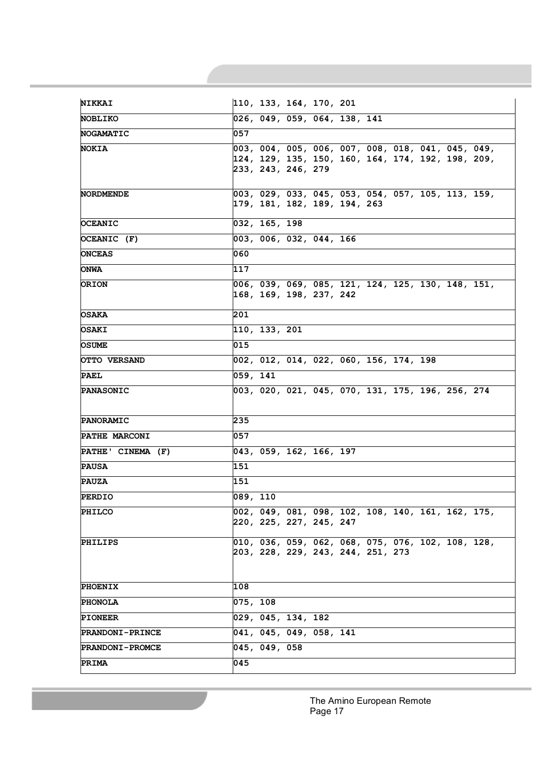|                        | 110, 133, 164, 170, 201                              |
|------------------------|------------------------------------------------------|
| <b>NOBLIKO</b>         | 026, 049, 059, 064, 138, 141                         |
| <b>NOGAMATIC</b>       | 057                                                  |
| <b>NOKIA</b>           | 003, 004, 005, 006, 007, 008, 018, 041, 045, 049,    |
|                        | 124, 129, 135, 150, 160, 164, 174, 192, 198, 209,    |
|                        | 233, 243, 246, 279                                   |
| NORDMENDE              | 003, 029, 033, 045, 053, 054, 057, 105, 113, 159,    |
|                        | 179, 181, 182, 189, 194, 263                         |
| <b>OCEANIC</b>         | 032, 165, 198                                        |
| OCEANIC (F)            | 003, 006, 032, 044, 166                              |
| <b>ONCEAS</b>          | 060                                                  |
| <b>ONWA</b>            | 117                                                  |
| <b>ORION</b>           | 006, 039, 069, 085, 121, 124, 125, 130, 148, 151,    |
|                        | 168, 169, 198, 237, 242                              |
| <b>OSAKA</b>           | 201                                                  |
| OSAKI                  | $\overline{110}$ , 133, 201                          |
| <b>OSUME</b>           | 015                                                  |
| OTTO VERSAND           | 002, 012, 014, 022, 060, 156, 174, 198               |
| <b>PAEL</b>            | 059, 141                                             |
| <b>PANASONIC</b>       | 003, 020, 021, 045, 070, 131, 175, 196, 256, 274     |
| <b>PANORAMIC</b>       | 235                                                  |
| PATHE MARCONI          | 057                                                  |
| PATHE' CINEMA (F)      | 043, 059, 162, 166, 197                              |
| <b>PAUSA</b>           | 151                                                  |
| <b>PAUZA</b>           | 151                                                  |
| <b>PERDIO</b>          | 089, 110                                             |
| <b>PHILCO</b>          | 002, 049, 081, 098, 102, 108, 140, 161, 162, 175,    |
|                        | 220, 225, 227, 245, 247                              |
| <b>PHILIPS</b>         | $ 010, 036, 059, 062, 068, 075, 076, 102, 108, 128,$ |
|                        | 203, 228, 229, 243, 244, 251, 273                    |
|                        |                                                      |
| <b>PHOENIX</b>         | 108                                                  |
| <b>PHONOLA</b>         | 075, 108                                             |
| <b>PIONEER</b>         | 029, 045, 134, 182                                   |
| <b>PRANDONI-PRINCE</b> | 041, 045, 049, 058, 141                              |
| PRANDONI-PROMCE        | 045, 049, 058                                        |
|                        | 045                                                  |

The Amino European Remote Page 17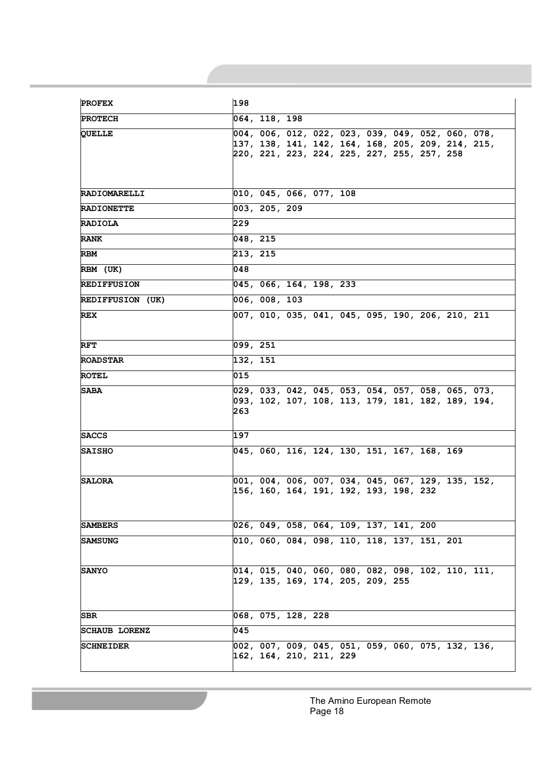| <b>PROFEX</b>           | 198                                                                                                                                                    |
|-------------------------|--------------------------------------------------------------------------------------------------------------------------------------------------------|
| <b>PROTECH</b>          | 064, 118, 198                                                                                                                                          |
| <b>OUELLE</b>           | 004, 006, 012, 022, 023, 039, 049, 052, 060, 078,<br> 137, 138, 141, 142, 164, 168, 205, 209, 214, 215,<br>220, 221, 223, 224, 225, 227, 255, 257, 258 |
| <b>RADIOMARELLI</b>     | 010, 045, 066, 077, 108                                                                                                                                |
| <b>RADIONETTE</b>       | 003, 205, 209                                                                                                                                          |
| <b>RADIOLA</b>          | 229                                                                                                                                                    |
| <b>RANK</b>             | 048, 215                                                                                                                                               |
| <b>RBM</b>              | 213, 215                                                                                                                                               |
| RBM (UK)                | 048                                                                                                                                                    |
| <b>REDIFFUSION</b>      | 045, 066, 164, 198, 233                                                                                                                                |
| <b>REDIFFUSION (UK)</b> | 006, 008, 103                                                                                                                                          |
| <b>REX</b>              | 007, 010, 035, 041, 045, 095, 190, 206, 210, 211                                                                                                       |
| RFT                     | 099, 251                                                                                                                                               |
| <b>ROADSTAR</b>         | 132, 151                                                                                                                                               |
| <b>ROTEL</b>            | 015                                                                                                                                                    |
| <b>SABA</b>             | 029, 033, 042, 045, 053, 054, 057, 058, 065, 073,<br> 093, 102, 107, 108, 113, 179, 181, 182, 189, 194,<br>263                                         |
| <b>SACCS</b>            | 197                                                                                                                                                    |
| <b>SAISHO</b>           | 045, 060, 116, 124, 130, 151, 167, 168, 169                                                                                                            |
| <b>SALORA</b>           | 001, 004, 006, 007, 034, 045, 067, 129, 135, 152,<br> 156, 160, 164, 191, 192, 193, 198, 232                                                           |
| SAMBERS                 | 026, 049, 058, 064, 109, 137, 141, 200                                                                                                                 |
| <b>SAMSUNG</b>          | 010, 060, 084, 098, 110, 118, 137, 151, 201                                                                                                            |
| <b>SANYO</b>            | 014, 015, 040, 060, 080, 082, 098, 102, 110, 111,<br> 129, 135, 169, 174, 205, 209, 255                                                                |
| SBR                     | 068, 075, 128, 228                                                                                                                                     |
| <b>SCHAUB LORENZ</b>    | 045                                                                                                                                                    |
| <b>SCHNEIDER</b>        | 002, 007, 009, 045, 051, 059, 060, 075, 132, 136,<br>162, 164, 210, 211, 229                                                                           |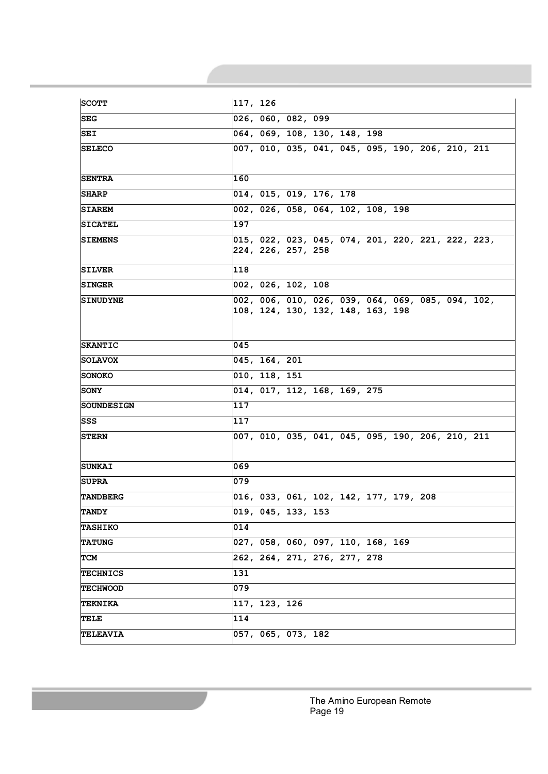| <b>SCOTT</b>      | 117, 126                                                                                                                  |
|-------------------|---------------------------------------------------------------------------------------------------------------------------|
| <b>SEG</b>        | 026, 060, 082, 099                                                                                                        |
| SEI               | 064, 069, 108, 130, 148, 198                                                                                              |
| <b>SELECO</b>     | 007, 010, 035, 041, 045, 095, 190, 206, 210, 211                                                                          |
| <b>SENTRA</b>     | 160                                                                                                                       |
| <b>SHARP</b>      | 014, 015, 019, 176, 178                                                                                                   |
| <b>SIAREM</b>     | 002, 026, 058, 064, 102, 108, 198                                                                                         |
| <b>SICATEL</b>    | 197                                                                                                                       |
| <b>SIEMENS</b>    | $\sqrt{015}$ , $\sqrt{022}$ , $\sqrt{023}$ , $\sqrt{045}$ , $\sqrt{074}$ , 201, 220, 221, 222, 223,<br>224, 226, 257, 258 |
| <b>SILVER</b>     | 118                                                                                                                       |
| <b>SINGER</b>     | 002, 026, 102, 108                                                                                                        |
| <b>SINUDYNE</b>   | 002, 006, 010, 026, 039, 064, 069, 085, 094, 102,<br>108, 124, 130, 132, 148, 163, 198                                    |
| <b>SKANTIC</b>    | 045                                                                                                                       |
| <b>SOLAVOX</b>    | 045, 164, 201                                                                                                             |
| SONOKO            | 010, 118, 151                                                                                                             |
| <b>SONY</b>       | 014, 017, 112, 168, 169, 275                                                                                              |
| <b>SOUNDESIGN</b> | 117                                                                                                                       |
| SSS               | 117                                                                                                                       |
| <b>STERN</b>      | 007, 010, 035, 041, 045, 095, 190, 206, 210, 211                                                                          |
| <b>SUNKAI</b>     | 069                                                                                                                       |
| <b>SUPRA</b>      | 079                                                                                                                       |
| <b>TANDBERG</b>   | 016, 033, 061, 102, 142, 177, 179, 208                                                                                    |
| <b>TANDY</b>      | 019, 045, 133, 153                                                                                                        |
| <b>TASHIKO</b>    | 014                                                                                                                       |
| <b>TATUNG</b>     | 027, 058, 060, 097, 110, 168, 169                                                                                         |
| TCM               | 262, 264, 271, 276, 277, 278                                                                                              |
| <b>TECHNICS</b>   | 131                                                                                                                       |
| <b>TECHWOOD</b>   | 079                                                                                                                       |
| <b>TEKNIKA</b>    | 117, 123, 126                                                                                                             |
| TELE              | 114                                                                                                                       |
| <b>TELEAVIA</b>   | 057, 065, 073, 182                                                                                                        |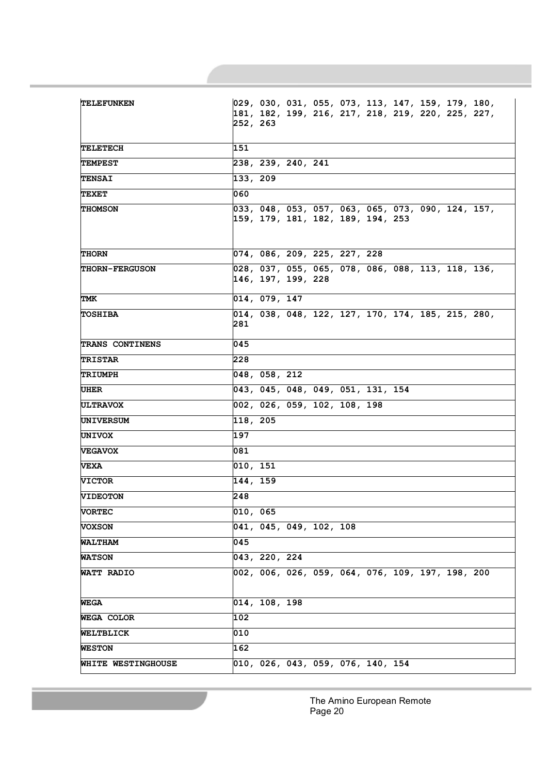| <b>TELEFUNKEN</b>         | $ 029, 030, 031, 055, 073, 113, 147, 159, 179, 180,$<br> 181, 182, 199, 216, 217, 218, 219, 220, 225, 227,<br>252, 263 |
|---------------------------|------------------------------------------------------------------------------------------------------------------------|
| TELETECH                  | 151                                                                                                                    |
| <b>TEMPEST</b>            | 238, 239, 240, 241                                                                                                     |
| <b>TENSAI</b>             | 133, 209                                                                                                               |
| <b>TEXET</b>              | 060                                                                                                                    |
| <b>THOMSON</b>            | 033, 048, 053, 057, 063, 065, 073, 090, 124, 157,<br> 159, 179, 181, 182, 189, 194, 253                                |
| <b>THORN</b>              | 074, 086, 209, 225, 227, 228                                                                                           |
| <b>THORN-FERGUSON</b>     | 028, 037, 055, 065, 078, 086, 088, 113, 118, 136,<br>146, 197, 199, 228                                                |
| TMK                       | 014, 079, 147                                                                                                          |
| <b>TOSHIBA</b>            | 014, 038, 048, 122, 127, 170, 174, 185, 215, 280,<br>281                                                               |
| <b>TRANS CONTINENS</b>    | 045                                                                                                                    |
| TRISTAR                   | 228                                                                                                                    |
| TRIUMPH                   | 048, 058, 212                                                                                                          |
| UHER                      | 043, 045, 048, 049, 051, 131, 154                                                                                      |
| <b>ULTRAVOX</b>           | 002, 026, 059, 102, 108, 198                                                                                           |
| UNIVERSUM                 | 118, 205                                                                                                               |
| <b>UNIVOX</b>             | 197                                                                                                                    |
| <b>VEGAVOX</b>            | 081                                                                                                                    |
| VEXA                      | 010, 151                                                                                                               |
| <b>VICTOR</b>             | 144, 159                                                                                                               |
| <b>VIDEOTON</b>           | 248                                                                                                                    |
| <b>VORTEC</b>             | 010, 065                                                                                                               |
| <b>VOXSON</b>             | 041, 045, 049, 102, 108                                                                                                |
| <b>WALTHAM</b>            | 045                                                                                                                    |
| <b>WATSON</b>             | 043, 220, 224                                                                                                          |
| WATT RADIO                | 002, 006, 026, 059, 064, 076, 109, 197, 198, 200                                                                       |
| WEGA                      | 014, 108, 198                                                                                                          |
| <b>WEGA COLOR</b>         | 102                                                                                                                    |
| WELTBLICK                 | 010                                                                                                                    |
| <b>WESTON</b>             | $\overline{1}$ 62                                                                                                      |
| <b>WHITE WESTINGHOUSE</b> | 010, 026, 043, 059, 076, 140, 154                                                                                      |